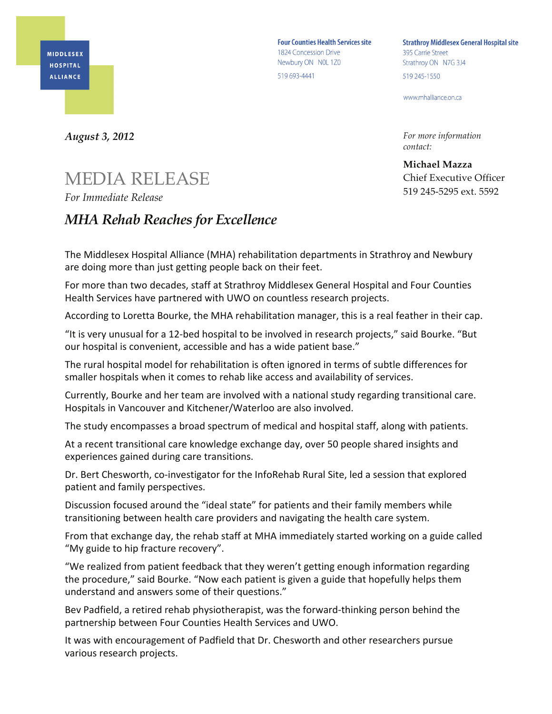**MIDDLESEX HOSPITAL ALLIANCE** 

**Four Counties Health Services site** 1824 Concession Drive Newbury ON NOL 1Z0 519 693-4441

**Strathroy Middlesex General Hospital site** 395 Carrie Street Strathroy ON N7G 3J4 519 245-1550

www.mhalliance.on.ca

*For more information contact:*

**Michael Mazza** Chief Executive Officer 519 245-5295 ext. 5592

*August 3, 2012*

## MEDIA RELEASE

*For Immediate Release*

## *MHA Rehab Reaches for Excellence*

The Middlesex Hospital Alliance (MHA) rehabilitation departments in Strathroy and Newbury are doing more than just getting people back on their feet.

For more than two decades, staff at Strathroy Middlesex General Hospital and Four Counties Health Services have partnered with UWO on countless research projects.

According to Loretta Bourke, the MHA rehabilitation manager, this is a real feather in their cap.

"It is very unusual for a 12-bed hospital to be involved in research projects," said Bourke. "But our hospital is convenient, accessible and has a wide patient base."

The rural hospital model for rehabilitation is often ignored in terms of subtle differences for smaller hospitals when it comes to rehab like access and availability of services.

Currently, Bourke and her team are involved with a national study regarding transitional care. Hospitals in Vancouver and Kitchener/Waterloo are also involved.

The study encompasses a broad spectrum of medical and hospital staff, along with patients.

At a recent transitional care knowledge exchange day, over 50 people shared insights and experiences gained during care transitions.

Dr. Bert Chesworth, co-investigator for the InfoRehab Rural Site, led a session that explored patient and family perspectives.

Discussion focused around the "ideal state" for patients and their family members while transitioning between health care providers and navigating the health care system.

From that exchange day, the rehab staff at MHA immediately started working on a guide called "My guide to hip fracture recovery".

"We realized from patient feedback that they weren't getting enough information regarding the procedure," said Bourke. "Now each patient is given a guide that hopefully helps them understand and answers some of their questions."

Bev Padfield, a retired rehab physiotherapist, was the forward-thinking person behind the partnership between Four Counties Health Services and UWO.

It was with encouragement of Padfield that Dr. Chesworth and other researchers pursue various research projects.